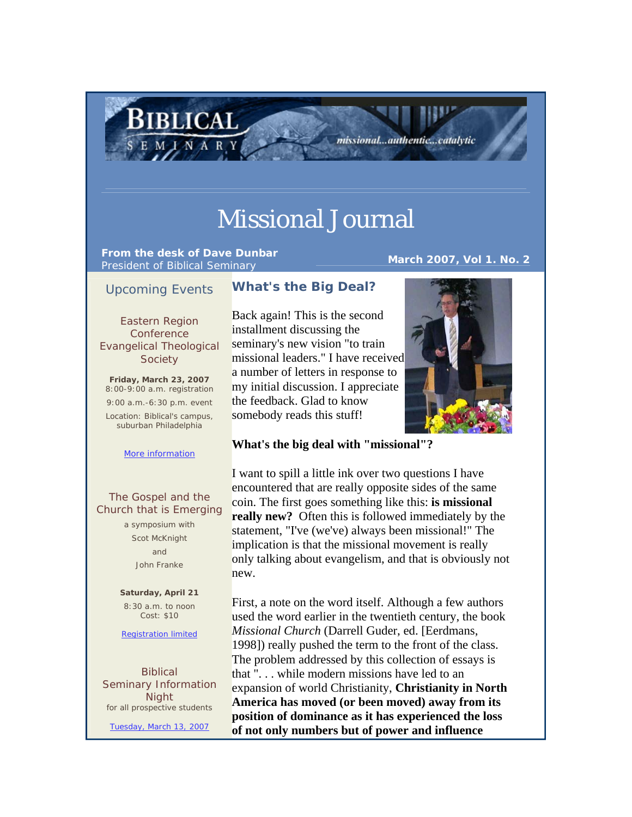# Missional Journal

**From the desk of Dave Dunbar** President of Biblical Seminary **March 2007, Vol 1. No. 2**

BIBLICAL

missional...authentic...catalytic

# Upcoming Events

Eastern Region **Conference** Evangelical Theological **Society** 

**Friday, March 23, 2007** 8:00-9:00 a.m. registration 9:00 a.m.-6:30 p.m. event Location: Biblical's campus, suburban Philadelphia

#### More information

### The Gospel and the Church that is Emerging

a symposium with Scot McKnight and John Franke

**Saturday, April 21**  8:30 a.m. to noon Cost: \$10

Registration limited

Biblical Seminary Information **Night** for all prospective students

Tuesday, March 13, 2007

# **What's the Big Deal?**

Back again! This is the second installment discussing the seminary's new vision "to train missional leaders." I have received a number of letters in response to my initial discussion. I appreciate the feedback. Glad to know somebody reads this stuff!



# **What's the big deal with "missional"?**

I want to spill a little ink over two questions I have encountered that are really opposite sides of the same coin. The first goes something like this: **is missional really new?** Often this is followed immediately by the statement, "I've (we've) always been missional!" The implication is that the missional movement is really only talking about evangelism, and that is obviously not new.

First, a note on the word itself. Although a few authors used the word earlier in the twentieth century, the book *Missional Church* (Darrell Guder, ed. [Eerdmans, 1998]) really pushed the term to the front of the class. The problem addressed by this collection of essays is that ". . . while modern missions have led to an expansion of world Christianity, **Christianity in North America has moved (or been moved) away from its position of dominance as it has experienced the loss of not only numbers but of power and influence**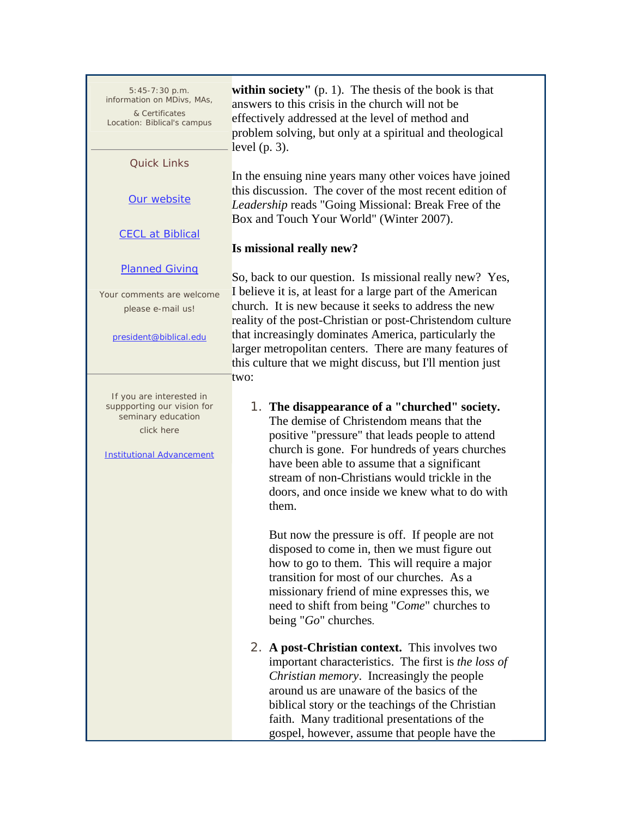| $5:45-7:30 p.m.$<br>information on MDivs, MAs,<br>& Certificates<br>Location: Biblical's campus                                | within society" $(p, 1)$ . The thesis of the book is that<br>answers to this crisis in the church will not be<br>effectively addressed at the level of method and<br>problem solving, but only at a spiritual and theological<br>level $(p. 3)$ .                                                                                                         |
|--------------------------------------------------------------------------------------------------------------------------------|-----------------------------------------------------------------------------------------------------------------------------------------------------------------------------------------------------------------------------------------------------------------------------------------------------------------------------------------------------------|
| <b>Quick Links</b>                                                                                                             |                                                                                                                                                                                                                                                                                                                                                           |
| Our website                                                                                                                    | In the ensuing nine years many other voices have joined<br>this discussion. The cover of the most recent edition of<br>Leadership reads "Going Missional: Break Free of the<br>Box and Touch Your World" (Winter 2007).                                                                                                                                   |
| <b>CECL at Biblical</b>                                                                                                        | Is missional really new?                                                                                                                                                                                                                                                                                                                                  |
| <b>Planned Giving</b>                                                                                                          |                                                                                                                                                                                                                                                                                                                                                           |
| Your comments are welcome<br>please e-mail us!                                                                                 | So, back to our question. Is missional really new? Yes,<br>I believe it is, at least for a large part of the American<br>church. It is new because it seeks to address the new<br>reality of the post-Christian or post-Christendom culture                                                                                                               |
| president@biblical.edu                                                                                                         | that increasingly dominates America, particularly the<br>larger metropolitan centers. There are many features of<br>this culture that we might discuss, but I'll mention just<br>two:                                                                                                                                                                     |
| If you are interested in<br>suppporting our vision for<br>seminary education<br>click here<br><b>Institutional Advancement</b> | 1. The disappearance of a "churched" society.<br>The demise of Christendom means that the<br>positive "pressure" that leads people to attend<br>church is gone. For hundreds of years churches<br>have been able to assume that a significant<br>stream of non-Christians would trickle in the<br>doors, and once inside we knew what to do with<br>them. |
|                                                                                                                                | But now the pressure is off. If people are not<br>disposed to come in, then we must figure out<br>how to go to them. This will require a major<br>transition for most of our churches. As a<br>missionary friend of mine expresses this, we<br>need to shift from being "Come" churches to<br>being "Go" churches.                                        |
|                                                                                                                                | 2. A post-Christian context. This involves two<br>important characteristics. The first is the loss of                                                                                                                                                                                                                                                     |

*Christian memory*. Increasingly the people around us are unaware of the basics of the biblical story or the teachings of the Christian faith. Many traditional presentations of the gospel, however, assume that people have the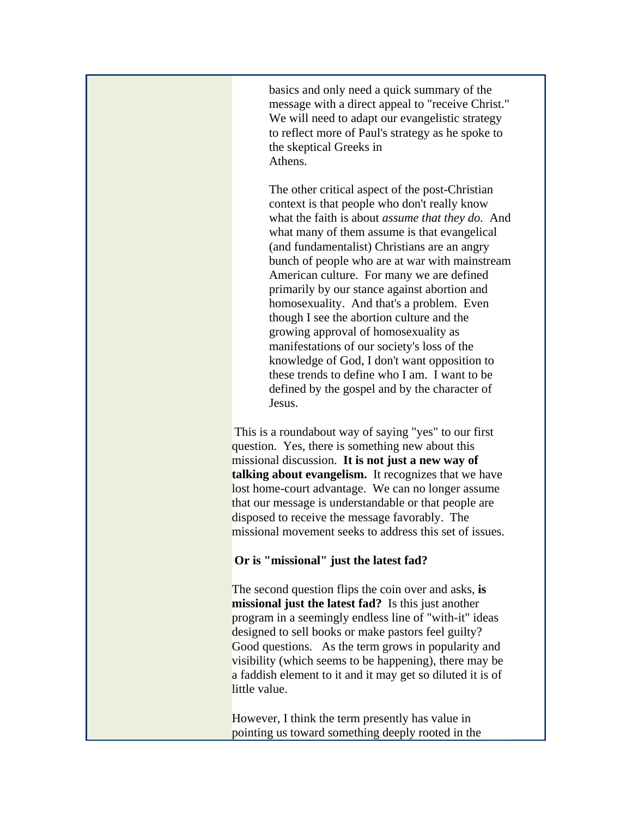basics and only need a quick summary of the message with a direct appeal to "receive Christ." We will need to adapt our evangelistic strategy to reflect more of Paul's strategy as he spoke to the skeptical Greeks in Athens.

The other critical aspect of the post-Christian context is that people who don't really know what the faith is about *assume that they do.* And what many of them assume is that evangelical (and fundamentalist) Christians are an angry bunch of people who are at war with mainstream American culture. For many we are defined primarily by our stance against abortion and homosexuality. And that's a problem. Even though I see the abortion culture and the growing approval of homosexuality as manifestations of our society's loss of the knowledge of God, I don't want opposition to these trends to define who I am. I want to be defined by the gospel and by the character of Jesus.

This is a roundabout way of saying "yes" to our first question. Yes, there is something new about this missional discussion. **It is not just a new way of talking about evangelism.** It recognizes that we have lost home-court advantage. We can no longer assume that our message is understandable or that people are disposed to receive the message favorably. The missional movement seeks to address this set of issues.

## **Or is "missional" just the latest fad?**

The second question flips the coin over and asks, **is missional just the latest fad?** Is this just another program in a seemingly endless line of "with-it" ideas designed to sell books or make pastors feel guilty? Good questions. As the term grows in popularity and visibility (which seems to be happening), there may be a faddish element to it and it may get so diluted it is of little value.

However, I think the term presently has value in pointing us toward something deeply rooted in the